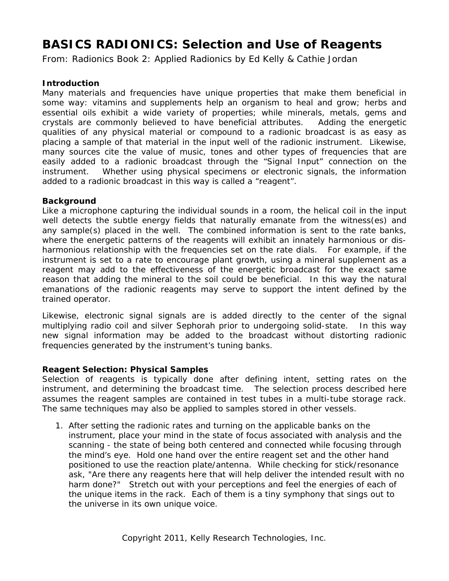# **BASICS RADIONICS: Selection and Use of Reagents**

From: *Radionics Book 2: Applied Radionics* by Ed Kelly & Cathie Jordan

#### **Introduction**

Many materials and frequencies have unique properties that make them beneficial in some way: vitamins and supplements help an organism to heal and grow; herbs and essential oils exhibit a wide variety of properties; while minerals, metals, gems and crystals are commonly believed to have beneficial attributes. Adding the energetic qualities of any physical material or compound to a radionic broadcast is as easy as placing a sample of that material in the input well of the radionic instrument. Likewise, many sources cite the value of music, tones and other types of frequencies that are easily added to a radionic broadcast through the "Signal Input" connection on the instrument. Whether using physical specimens or electronic signals, the information added to a radionic broadcast in this way is called a "reagent".

#### **Background**

Like a microphone capturing the individual sounds in a room, the helical coil in the input well detects the subtle energy fields that naturally emanate from the witness(es) and any sample(s) placed in the well. The combined information is sent to the rate banks, where the energetic patterns of the reagents will exhibit an innately harmonious or disharmonious relationship with the frequencies set on the rate dials. For example, if the instrument is set to a rate to encourage plant growth, using a mineral supplement as a reagent may add to the effectiveness of the energetic broadcast for the exact same reason that adding the mineral to the soil could be beneficial. In this way the natural emanations of the radionic reagents may serve to support the intent defined by the trained operator.

Likewise, electronic signal signals are is added directly to the center of the signal multiplying radio coil and silver Sephorah prior to undergoing solid-state. In this way new signal information may be added to the broadcast without distorting radionic frequencies generated by the instrument's tuning banks.

#### **Reagent Selection: Physical Samples**

Selection of reagents is typically done after defining intent, setting rates on the instrument, and determining the broadcast time. The selection process described here assumes the reagent samples are contained in test tubes in a multi-tube storage rack. The same techniques may also be applied to samples stored in other vessels.

1. After setting the radionic rates and turning on the applicable banks on the instrument, place your mind in the state of focus associated with analysis and the scanning - the state of being both centered and connected while focusing through the mind's eye. Hold one hand over the entire reagent set and the other hand positioned to use the reaction plate/antenna. While checking for stick/resonance ask, "Are there any reagents here that will help deliver the intended result with no harm done?" Stretch out with your perceptions and *feel* the energies of each of the unique items in the rack. Each of them is a tiny symphony that sings out to the universe in its own unique voice.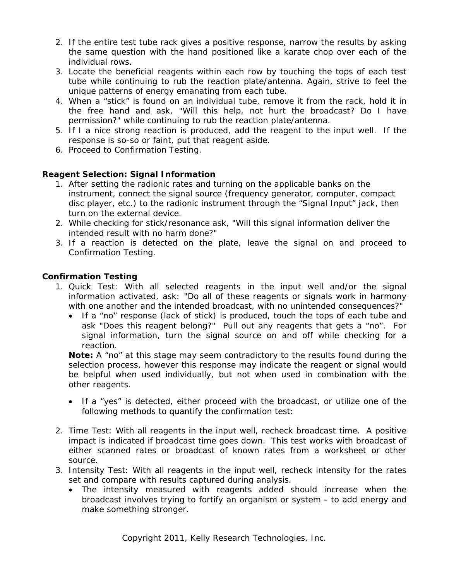- 2. If the entire test tube rack gives a positive response, narrow the results by asking the same question with the hand positioned like a karate chop over each of the individual rows.
- 3. Locate the beneficial reagents within each row by touching the tops of each test tube while continuing to rub the reaction plate/antenna. Again, strive to feel the unique patterns of energy emanating from each tube.
- 4. When a "stick" is found on an individual tube, remove it from the rack, hold it in the free hand and ask, "Will this help, not hurt the broadcast? Do I have permission?" while continuing to rub the reaction plate/antenna.
- 5. If I a nice strong reaction is produced, add the reagent to the input well. If the response is so-so or faint, put that reagent aside.
- 6. Proceed to Confirmation Testing.

## **Reagent Selection: Signal Information**

- 1. After setting the radionic rates and turning on the applicable banks on the instrument, connect the signal source (frequency generator, computer, compact disc player, etc.) to the radionic instrument through the "Signal Input" jack, then turn on the external device.
- 2. While checking for stick/resonance ask, "Will this signal information deliver the intended result with no harm done?"
- 3. If a reaction is detected on the plate, leave the signal on and proceed to Confirmation Testing.

### **Confirmation Testing**

- 1. Quick Test: With all selected reagents in the input well and/or the signal information activated, ask: "Do all of these reagents or signals work in harmony with one another and the intended broadcast, with no unintended consequences?"
	- If a "no" response (lack of stick) is produced, touch the tops of each tube and ask "Does this reagent belong?" Pull out any reagents that gets a "no". For signal information, turn the signal source on and off while checking for a reaction.

**Note:** A "no" at this stage may seem contradictory to the results found during the selection process, however this response may indicate the reagent or signal would be helpful when used individually, but not when used in combination with the other reagents.

- If a "yes" is detected, either proceed with the broadcast, or utilize one of the following methods to quantify the confirmation test:
- 2. Time Test: With all reagents in the input well, recheck broadcast time. A positive impact is indicated if broadcast time goes down. This test works with broadcast of either scanned rates or broadcast of known rates from a worksheet or other source.
- 3. Intensity Test: With all reagents in the input well, recheck intensity for the rates set and compare with results captured during analysis.
	- The intensity measured with reagents added should *increase* when the broadcast involves trying to fortify an organism or system - to add energy and make something stronger.